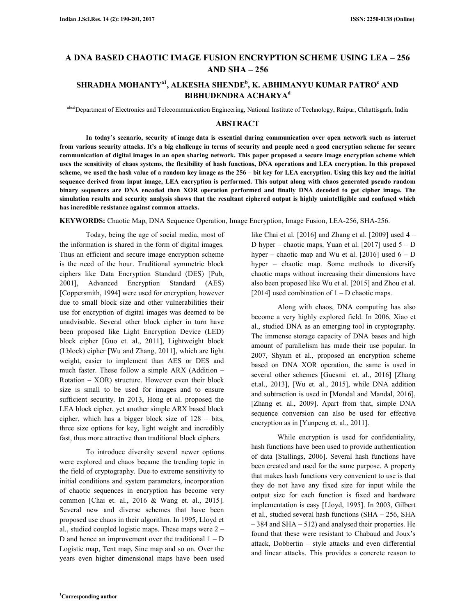# **A DNA BASED CHAOTIC IMAGE FUSION ENCRYPTION SCHEME USING LEA – 256 AND SHA – 256**

# **SHRADHA MOHANTYa1, ALKESHA SHENDE<sup>b</sup> , K. ABHIMANYU KUMAR PATRO<sup>c</sup> AND BIBHUDENDRA ACHARYA<sup>d</sup>**

abcdDepartment of Electronics and Telecommunication Engineering, National Institute of Technology, Raipur, Chhattisgarh, India

### **ABSTRACT**

 **In today's scenario, security of image data is essential during communication over open network such as internet from various security attacks. It's a big challenge in terms of security and people need a good encryption scheme for secure communication of digital images in an open sharing network. This paper proposed a secure image encryption scheme which uses the sensitivity of chaos systems, the flexibility of hash functions, DNA operations and LEA encryption. In this proposed scheme, we used the hash value of a random key image as the 256 – bit key for LEA encryption. Using this key and the initial sequence derived from input image, LEA encryption is performed. This output along with chaos generated pseudo random binary sequences are DNA encoded then XOR operation performed and finally DNA decoded to get cipher image. The simulation results and security analysis shows that the resultant ciphered output is highly unintelligible and confused which has incredible resistance against common attacks.** 

**KEYWORDS:** Chaotic Map, DNA Sequence Operation, Image Encryption, Image Fusion, LEA-256, SHA-256.

 Today, being the age of social media, most of the information is shared in the form of digital images. Thus an efficient and secure image encryption scheme is the need of the hour. Traditional symmetric block ciphers like Data Encryption Standard (DES) [Pub, 2001], Advanced Encryption Standard (AES) [Coppersmith, 1994] were used for encryption, however due to small block size and other vulnerabilities their use for encryption of digital images was deemed to be unadvisable. Several other block cipher in turn have been proposed like Light Encryption Device (LED) block cipher [Guo et. al., 2011], Lightweight block (Lblock) cipher [Wu and Zhang, 2011], which are light weight, easier to implement than AES or DES and much faster. These follow a simple ARX (Addition – Rotation – XOR) structure. However even their block size is small to be used for images and to ensure sufficient security. In 2013, Hong et al. proposed the LEA block cipher, yet another simple ARX based block cipher, which has a bigger block size of 128 – bits, three size options for key, light weight and incredibly fast, thus more attractive than traditional block ciphers.

 To introduce diversity several newer options were explored and chaos became the trending topic in the field of cryptography. Due to extreme sensitivity to initial conditions and system parameters, incorporation of chaotic sequences in encryption has become very common [Chai et. al., 2016 & Wang et. al., 2015]. Several new and diverse schemes that have been proposed use chaos in their algorithm. In 1995, Lloyd et al., studied coupled logistic maps. These maps were 2 – D and hence an improvement over the traditional  $1 - D$ Logistic map, Tent map, Sine map and so on. Over the years even higher dimensional maps have been used

like Chai et al. [2016] and Zhang et al. [2009] used 4 – D hyper – chaotic maps, Yuan et al. [2017] used  $5 - D$ hyper – chaotic map and Wu et al. [2016] used  $6 - D$ hyper – chaotic map. Some methods to diversify chaotic maps without increasing their dimensions have also been proposed like Wu et al. [2015] and Zhou et al. [2014] used combination of  $1 - D$  chaotic maps.

 Along with chaos, DNA computing has also become a very highly explored field. In 2006, Xiao et al., studied DNA as an emerging tool in cryptography. The immense storage capacity of DNA bases and high amount of parallelism has made their use popular. In 2007, Shyam et al., proposed an encryption scheme based on DNA XOR operation, the same is used in several other schemes [Guesmi et. al., 2016] [Zhang et.al., 2013], [Wu et. al., 2015], while DNA addition and subtraction is used in [Mondal and Mandal, 2016], [Zhang et. al., 2009]. Apart from that, simple DNA sequence conversion can also be used for effective encryption as in [Yunpeng et. al., 2011].

 While encryption is used for confidentiality, hash functions have been used to provide authentication of data [Stallings, 2006]. Several hash functions have been created and used for the same purpose. A property that makes hash functions very convenient to use is that they do not have any fixed size for input while the output size for each function is fixed and hardware implementation is easy [Lloyd, 1995]. In 2003, Gilbert et al., studied several hash functions (SHA – 256, SHA – 384 and SHA – 512) and analysed their properties. He found that these were resistant to Chabaud and Joux's attack, Dobbertin – style attacks and even differential and linear attacks. This provides a concrete reason to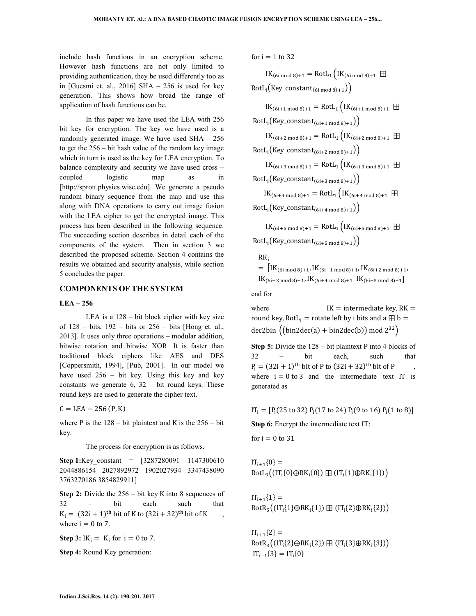include hash functions in an encryption scheme. However hash functions are not only limited to providing authentication, they be used differently too as in [Guesmi et. al., 2016] SHA  $-$  256 is used for key generation. This shows how broad the range of application of hash functions can be.

 In this paper we have used the LEA with 256 bit key for encryption. The key we have used is a randomly generated image. We have used SHA – 256 to get the 256 – bit hash value of the random key image which in turn is used as the key for LEA encryption. To balance complexity and security we have used cross – coupled logistic map as in [http://sprott.physics.wisc.edu]. We generate a pseudo random binary sequence from the map and use this along with DNA operations to carry out image fusion with the LEA cipher to get the encrypted image. This process has been described in the following sequence. The succeeding section describes in detail each of the components of the system. Then in section 3 we described the proposed scheme. Section 4 contains the results we obtained and security analysis, while section 5 concludes the paper.

## **COMPONENTS OF THE SYSTEM**

## **LEA – 256**

 LEA is a 128 – bit block cipher with key size of  $128 - bits$ ,  $192 - bits$  or  $256 - bits$  [Hong et. al., 2013]. It uses only three operations – modular addition, bitwise rotation and bitwise XOR. It is faster than traditional block ciphers like AES and DES [Coppersmith, 1994], [Pub, 2001]. In our model we have used 256 – bit key. Using this key and key constants we generate  $6$ ,  $32 - bit$  round keys. These round keys are used to generate the cipher text.

 $C = LEA - 256(P, K)$ 

where P is the  $128 - bit$  plaintext and K is the  $256 - bit$ key.

The process for encryption is as follows.

**Step 1:**Key constant = [3287280091 1147300610 2044886154 2027892972 1902027934 3347438090 3763270186 3854829911]

**Step 2:** Divide the 256 – bit key K into 8 sequences of 32 – bit each such that  $K_i = (32i + 1)$ <sup>th</sup> bit of K to  $(32i + 32)$ <sup>th</sup> bit of K, , where  $i = 0$  to 7.

**Step 3:**  $IK_i = K_i$  for  $i = 0$  to 7.

**Step 4:** Round Key generation:

for  $i = 1$  to 32

 $IK_{(6i \text{ mod } 8)+1} = RotL_1 (IK_{(6i \text{ mod } 8)+1} \boxplus$  $RotL_i(Key\_constant_{(6i \mod 8)+1}))$ 

 $IK_{(6i+1 \mod 8)+1} = RotL_1 (IK_{(6i+1 \mod 8)+1} \boxplus$  $RotL_i(Key\_constant_{(6i+1 \mod 8)+1}))$  $IK_{(6i+2 \mod 8)+1} = RotL_1 (IK_{(6i+2 \mod 8)+1} \boxplus$  $RotL_i(Key\_constant_{(6i+2 \mod 8)+1}))$  $IK_{(6i+3 \mod 8)+1} = RotL_1 (IK_{(6i+3 \mod 8)+1} \boxplus$  $RotL_i(Key\_constant_{(6i+3 mod 8)+1}))$  $IK_{(6i+4 \mod 8)+1} = RotL_1 (IK_{(6i+4 \mod 8)+1} \boxplus$  $RotL_i(Key\_constant_{(6i+4 mod 8)+1}))$  $IK_{(6i+5 \mod 8)+1} = RotL_1 (IK_{(6i+5 \mod 8)+1} \boxplus$ 

 $RotL_i(Key\_constant_{(6i+5 \mod 8)+1}))$ 

 $RK_i$  $=$   $\left| \frac{IK_{(6i \mod 8)+1}}{IK_{(6i+1 \mod 8)+1}} \right| K_{(6i+2 \mod 8)+1}$  $IK_{(6i+3 \mod 8)+1}, IK_{(6i+4 \mod 8)+1}$   $IK_{(6i+5 \mod 8)+1}$ 

end for

where  $IK =$  intermediate key,  $RK =$ round key, RotL<sub>i</sub> = rotate left by i bits and a  $\boxplus$  b = dec2bin  $((\text{bin2dec}(a) + \text{bin2dec}(b)) \text{ mod } 2^{32})$ 

**Step 5:** Divide the 128 – bit plaintext P into 4 blocks of 32 – bit each, such that  $P_i = (32i + 1)$ <sup>th</sup> bit of P to  $(32i + 32)$ <sup>th</sup> bit of P, where  $i = 0$  to 3 and the intermediate text IT is generated as

 $IT_i = [P_i(25 \text{ to } 32) P_i(17 \text{ to } 24) P_i(9 \text{ to } 16) P_i(1 \text{ to } 8)]$ 

**Step 6:** Encrypt the intermediate text IT:

for  $i = 0$  to 31

 $IT_{i+1}\{0\} =$  $RotL<sub>9</sub>((IT<sub>i</sub>{0} \oplus RK<sub>i</sub>{0})) \boxplus (IT<sub>i</sub>{1} \oplus RK<sub>i</sub>{1}))$ 

 $IT_{i+1}{1} =$  $RotR_{5}((IT_i{1}]\oplus RK_i{1}) \boxplus (IT_i{2}]\oplus RK_i{2}))$ 

 $IT_{i+1}{2}$  $\text{RotR}_3\big((\text{IT}_\text{i}\{2\} \oplus \text{RK}_\text{i}\{2\}) \boxplus (\text{IT}_\text{i}\{3\} \oplus \text{RK}_\text{i}\{3\})\big)$  $IT_{i+1}{3} = IT_i{0}$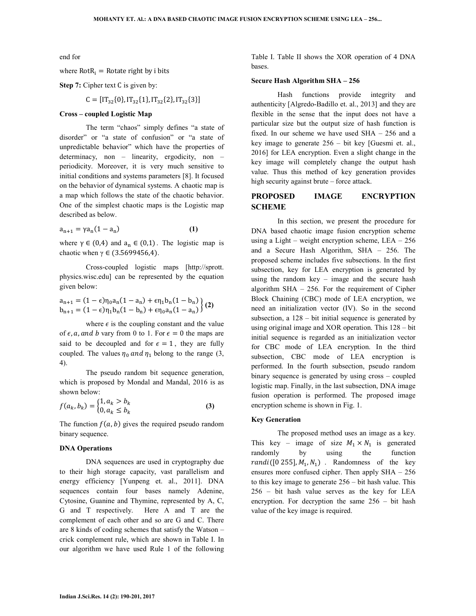end for

#### where  $RotR_i = Rotate$  right by i bits

## **Step 7:** Cipher text C is given by:

$$
C = [IT_{32}\{0\}, IT_{32}\{1\}, IT_{32}\{2\}, IT_{32}\{3\}]
$$

#### **Cross – coupled Logistic Map**

 The term "chaos" simply defines "a state of disorder" or "a state of confusion" or "a state of unpredictable behavior" which have the properties of determinacy, non – linearity, ergodicity, non – periodicity. Moreover, it is very much sensitive to initial conditions and systems parameters [8]. It focused on the behavior of dynamical systems. A chaotic map is a map which follows the state of the chaotic behavior. One of the simplest chaotic maps is the Logistic map described as below.

$$
a_{n+1} = \gamma a_n (1 - a_n) \tag{1}
$$

where  $\gamma \in (0,4)$  and  $a_n \in (0,1)$ . The logistic map is chaotic when  $\gamma \in (3.5699456, 4)$ .

 Cross-coupled logistic maps [http://sprott. physics.wisc.edu] can be represented by the equation given below:

$$
a_{n+1} = (1 - \epsilon)\eta_0 a_n (1 - a_n) + \epsilon \eta_1 b_n (1 - b_n)
$$
  
\n
$$
b_{n+1} = (1 - \epsilon)\eta_1 b_n (1 - b_n) + \epsilon \eta_0 a_n (1 - a_n)
$$
 (2)

where  $\epsilon$  is the coupling constant and the value of  $\epsilon$ , a, and b vary from 0 to 1. For  $\epsilon = 0$  the maps are said to be decoupled and for  $\epsilon = 1$ , they are fully coupled. The values  $\eta_0$  and  $\eta_1$  belong to the range (3, 4).

 The pseudo random bit sequence generation, which is proposed by Mondal and Mandal, 2016 is as shown below:

$$
f(a_k, b_k) = \begin{cases} 1, a_k > b_k \\ 0, a_k \le b_k \end{cases}
$$
 (3)

The function  $f(a, b)$  gives the required pseudo random binary sequence.

#### **DNA Operations**

 DNA sequences are used in cryptography due to their high storage capacity, vast parallelism and energy efficiency [Yunpeng et. al., 2011]. DNA sequences contain four bases namely Adenine, Cytosine, Guanine and Thymine, represented by A, C, G and T respectively. Here A and T are the complement of each other and so are G and C. There are 8 kinds of coding schemes that satisfy the Watson – crick complement rule, which are shown in Table I. In our algorithm we have used Rule 1 of the following

Table I. Table II shows the XOR operation of 4 DNA bases.

#### **Secure Hash Algorithm SHA – 256**

 Hash functions provide integrity and authenticity [Algredo-Badillo et. al., 2013] and they are flexible in the sense that the input does not have a particular size but the output size of hash function is fixed. In our scheme we have used SHA – 256 and a key image to generate 256 – bit key [Guesmi et. al., 2016] for LEA encryption. Even a slight change in the key image will completely change the output hash value. Thus this method of key generation provides high security against brute – force attack.

## **PROPOSED IMAGE ENCRYPTION SCHEME**

 In this section, we present the procedure for DNA based chaotic image fusion encryption scheme using a Light – weight encryption scheme,  $LEA - 256$ and a Secure Hash Algorithm, SHA – 256. The proposed scheme includes five subsections. In the first subsection, key for LEA encryption is generated by using the random key – image and the secure hash algorithm SHA – 256. For the requirement of Cipher Block Chaining (CBC) mode of LEA encryption, we need an initialization vector (IV). So in the second subsection, a  $128 - \text{bit initial sequence}$  is generated by using original image and XOR operation. This 128 – bit initial sequence is regarded as an initialization vector for CBC mode of LEA encryption. In the third subsection, CBC mode of LEA encryption is performed. In the fourth subsection, pseudo random binary sequence is generated by using cross – coupled logistic map. Finally, in the last subsection, DNA image fusion operation is performed. The proposed image encryption scheme is shown in Fig. 1.

#### **Key Generation**

 The proposed method uses an image as a key. This key – image of size  $M_1 \times N_1$  is generated randomly by using the function  $randi([0 255], M_1, N_1)$  . Randomness of the key ensures more confused cipher. Then apply SHA – 256 to this key image to generate 256 – bit hash value. This 256 – bit hash value serves as the key for LEA encryption. For decryption the same 256 – bit hash value of the key image is required.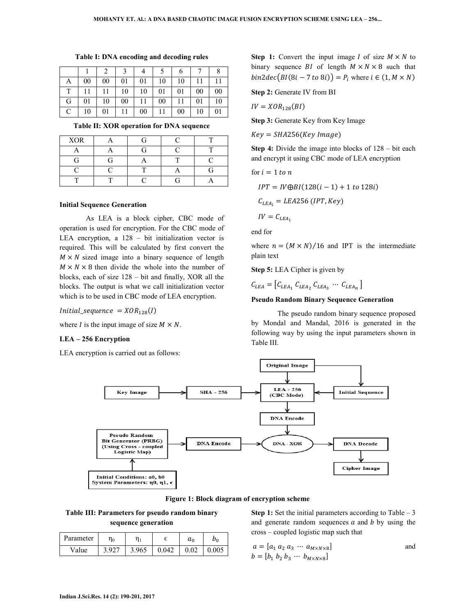| A | 00 | 00 | 01 | 01 | 10 | 10 |    |    |
|---|----|----|----|----|----|----|----|----|
|   |    | 11 | 10 | 10 | 01 | 01 | 00 | 00 |
| G | 01 | 10 | 00 | 11 | 00 | 11 | 01 | 10 |
|   | 10 | 01 | 11 | 00 | 11 | 00 | 10 | 01 |

**Table I: DNA encoding and decoding rules** 

**Table II: XOR operation for DNA sequence** 

| <b>XOR</b> |  |  |
|------------|--|--|
|            |  |  |
| Ξì         |  |  |
|            |  |  |
|            |  |  |

#### **Initial Sequence Generation**

 As LEA is a block cipher, CBC mode of operation is used for encryption. For the CBC mode of LEA encryption, a 128 – bit initialization vector is required. This will be calculated by first convert the  $M \times N$  sized image into a binary sequence of length  $M \times N \times 8$  then divide the whole into the number of blocks, each of size 128 – bit and finally, XOR all the blocks. The output is what we call initialization vector which is to be used in CBC mode of LEA encryption.

 $Initial\_sequence = XOR_{128}(I)$ 

where I is the input image of size  $M \times N$ .

#### **LEA – 256 Encryption**

LEA encryption is carried out as follows:

**Step 1:** Convert the input image *I* of size  $M \times N$  to binary sequence *BI* of length  $M \times N \times 8$  such that  $bin2dec\big(BI(8i-7\ to\ 8i)\big)=P_i$  where  $i\in(1,M\times N)$ 

**Step 2:** Generate IV from BI

$$
IV = XOR_{128}(BI)
$$

**Step 3:** Generate Key from Key Image

 $Key = SHA256(Key Image)$ 

**Step 4:** Divide the image into blocks of 128 – bit each and encrypt it using CBC mode of LEA encryption

for 
$$
i = 1
$$
 to  $n$   
\n
$$
IPT = IV \bigoplus B I(128(i - 1) + 1 \text{ to } 128i)
$$
\n
$$
C_{LEA_i} = LEA256 (IPT, Key)
$$
\n
$$
IV = C_{LEA_i}
$$

end for

where  $n = (M \times N)/16$  and IPT is the intermediate plain text

**Step 5:** LEA Cipher is given by

 $C_{LEA} = [C_{LEA_1} C_{LEA_2} C_{LEA_3} \cdots C_{LEA_n}]$ 

## **Pseudo Random Binary Sequence Generation**

 The pseudo random binary sequence proposed by Mondal and Mandal, 2016 is generated in the following way by using the input parameters shown in Table III.



**Figure 1: Block diagram of encryption scheme** 

**Table III: Parameters for pseudo random binary sequence generation** 

| Parameter | $\eta_0$ |       |       | $a_0$ | $\nu_0$ |
|-----------|----------|-------|-------|-------|---------|
| Value     | 3.927    | 3.965 | 0.042 | 0.02  | 0.005   |

**Step 1:** Set the initial parameters according to Table – 3 and generate random sequences  $a$  and  $b$  by using the cross – coupled logistic map such that

$$
a = [a_1 a_2 a_3 \cdots a_{M \times N \times 8}]
$$
  
\n
$$
b = [b_1 b_2 b_3 \cdots b_{M \times N \times 8}]
$$
 and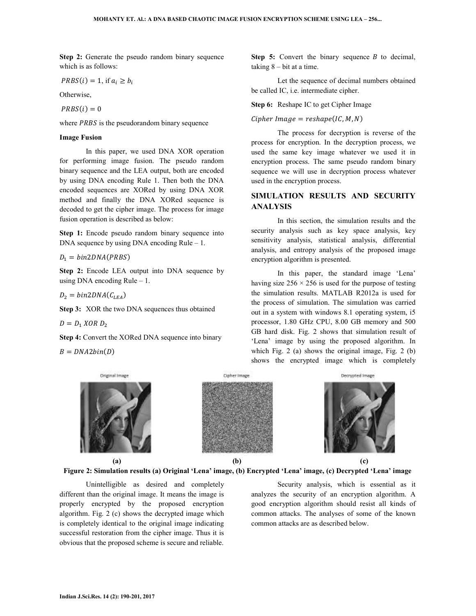**Step 2:** Generate the pseudo random binary sequence which is as follows:

$$
PRBS(i) = 1, \text{ if } a_i \ge b_i
$$

Otherwise,

 $PRBS(i) = 0$ 

where  $PRBS$  is the pseudorandom binary sequence

#### **Image Fusion**

 In this paper, we used DNA XOR operation for performing image fusion. The pseudo random binary sequence and the LEA output, both are encoded by using DNA encoding Rule 1. Then both the DNA encoded sequences are XORed by using DNA XOR method and finally the DNA XORed sequence is decoded to get the cipher image. The process for image fusion operation is described as below:

**Step 1:** Encode pseudo random binary sequence into DNA sequence by using DNA encoding  $Rule - 1$ .

 $D_1 = bin2DNA(PRBS)$ 

**Step 2:** Encode LEA output into DNA sequence by using DNA encoding Rule  $-1$ .

 $D_2 = bin2DNA(C_{LEA})$ 

**Step 3:** XOR the two DNA sequences thus obtained

 $D = D_1 \ XOR \ D_2$ 

**Step 4:** Convert the XORed DNA sequence into binary

 $B = DNA2bin(D)$ 

**Step 5:** Convert the binary sequence  $B$  to decimal, taking  $8 - bit$  at a time.

 Let the sequence of decimal numbers obtained be called IC, i.e. intermediate cipher.

**Step 6:** Reshape IC to get Cipher Image

 $Cipher Image = reshape(IC, M, N)$ 

 The process for decryption is reverse of the process for encryption. In the decryption process, we used the same key image whatever we used it in encryption process. The same pseudo random binary sequence we will use in decryption process whatever used in the encryption process.

## **SIMULATION RESULTS AND SECURITY ANALYSIS**

 In this section, the simulation results and the security analysis such as key space analysis, key sensitivity analysis, statistical analysis, differential analysis, and entropy analysis of the proposed image encryption algorithm is presented.

 In this paper, the standard image 'Lena' having size  $256 \times 256$  is used for the purpose of testing the simulation results. MATLAB R2012a is used for the process of simulation. The simulation was carried out in a system with windows 8.1 operating system, i5 processor, 1.80 GHz CPU, 8.00 GB memory and 500 GB hard disk. Fig. 2 shows that simulation result of 'Lena' image by using the proposed algorithm. In which Fig. 2 (a) shows the original image, Fig. 2 (b) shows the encrypted image which is completely



**Figure 2: Simulation results (a) Original 'Lena' image, (b) Encrypted 'Lena' image, (c) Decrypted 'Lena' image** 

 Unintelligible as desired and completely different than the original image. It means the image is properly encrypted by the proposed encryption algorithm. Fig. 2 (c) shows the decrypted image which is completely identical to the original image indicating successful restoration from the cipher image. Thus it is obvious that the proposed scheme is secure and reliable.

 Security analysis, which is essential as it analyzes the security of an encryption algorithm. A good encryption algorithm should resist all kinds of common attacks. The analyses of some of the known common attacks are as described below.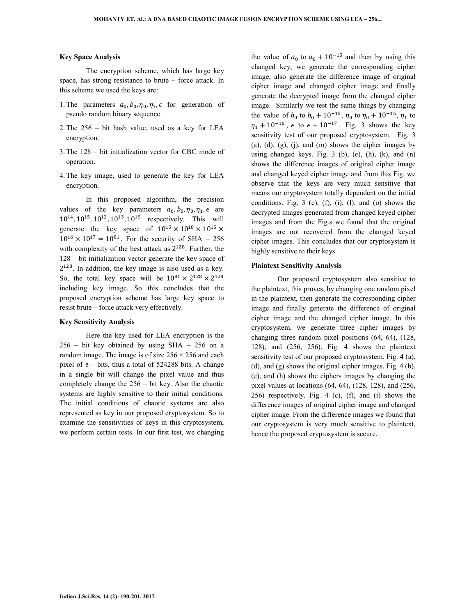#### **Key Space Analysis**

 The encryption scheme, which has large key space, has strong resistance to brute – force attack. In this scheme we used the keys are:

- 1. The parameters  $a_0, b_0, \eta_0, \eta_1, \epsilon$  for generation of pseudo random binary sequence.
- 2. The 256 bit hash value, used as a key for LEA encryption.
- 3. The 128 bit initialization vector for CBC mode of operation.
- 4. The key image, used to generate the key for LEA encryption.

 In this proposed algorithm, the precision values of the key parameters  $a_0, b_0, \eta_0, \eta_1, \epsilon$  are  $10^{14}$ ,  $10^{15}$ ,  $10^{12}$ ,  $10^{13}$ ,  $10^{15}$  respectively. This will generate the key space of  $10^{15} \times 10^{18} \times 10^{15} \times$  $10^{16} \times 10^{17} = 10^{81}$ . For the security of SHA – 256 with complexity of the best attack as  $2^{128}$ . Further, the 128 – bit initialization vector generate the key space of  $2^{128}$ . In addition, the key image is also used as a key. So, the total key space will be  $10^{81} \times 2^{128} \times 2^{128}$ including key image. So this concludes that the proposed encryption scheme has large key space to resist brute – force attack very effectively.

#### **Key Sensitivity Analysis**

 Here the key used for LEA encryption is the 256 – bit key obtained by using SHA – 256 on a random image. The image is of size  $256 \times 256$  and each pixel of 8 – bits, thus a total of 524288 bits. A change in a single bit will change the pixel value and thus completely change the 256 – bit key. Also the chaotic systems are highly sensitive to their initial conditions. The initial conditions of chaotic systems are also represented as key in our proposed cryptosystem. So to examine the sensitivities of keys in this cryptosystem, we perform certain tests. In our first test, we changing

the value of  $a_0$  to  $a_0 + 10^{-15}$  and then by using this changed key, we generate the corresponding cipher image, also generate the difference image of original cipher image and changed cipher image and finally generate the decrypted image from the changed cipher image. Similarly we test the same things by changing the value of  $b_0$  to  $b_0 + 10^{-15}$ ,  $\eta_0$  to  $\eta_0 + 10^{-15}$ ,  $\eta_1$  to  $\eta_1 + 10^{-16}$ ,  $\epsilon$  to  $\epsilon + 10^{-17}$ . Fig. 3 shows the key sensitivity test of our proposed cryptosystem. Fig. 3  $(a)$ ,  $(d)$ ,  $(g)$ ,  $(i)$ , and  $(m)$  shows the cipher images by using changed keys. Fig.  $3$  (b), (e), (h), (k), and (n) shows the difference images of original cipher image and changed keyed cipher image and from this Fig. we observe that the keys are very much sensitive that means our cryptosystem totally dependent on the initial conditions. Fig. 3 (c),  $(f)$ ,  $(i)$ ,  $(l)$ , and  $(o)$  shows the decrypted images generated from changed keyed cipher images and from the Fig.s we found that the original images are not recovered from the changed keyed cipher images. This concludes that our cryptosystem is highly sensitive to their keys.

#### **Plaintext Sensitivity Analysis**

 Our proposed cryptosystem also sensitive to the plaintext, this proves, by changing one random pixel in the plaintext, then generate the corresponding cipher image and finally generate the difference of original cipher image and the changed cipher image. In this cryptosystem, we generate three cipher images by changing three random pixel positions (64, 64), (128, 128), and (256, 256). Fig. 4 shows the plaintext sensitivity test of our proposed cryptosystem. Fig. 4 (a), (d), and (g) shows the original cipher images. Fig. 4 (b), (e), and (h) shows the ciphers images by changing the pixel values at locations (64, 64), (128, 128), and (256, 256) respectively. Fig. 4 (c), (f), and (i) shows the difference images of original cipher image and changed cipher image. From the difference images we found that our cryptosystem is very much sensitive to plaintext, hence the proposed cryptosystem is secure.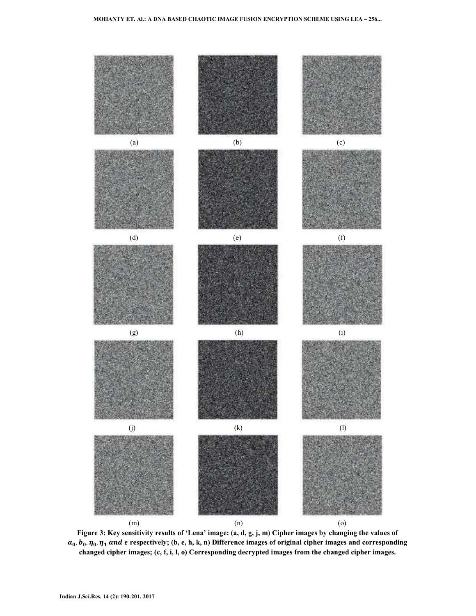

**Figure 3: Key sensitivity results of 'Lena' image: (a, d, g, j, m) Cipher images by changing the values of**   $a_0$ ,  $b_0$ ,  $\eta_0$ ,  $\eta_1$  and  $\epsilon$  respectively; (b, e, h, k, n) Difference images of original cipher images and corresponding **changed cipher images; (c, f, i, l, o) Corresponding decrypted images from the changed cipher images.**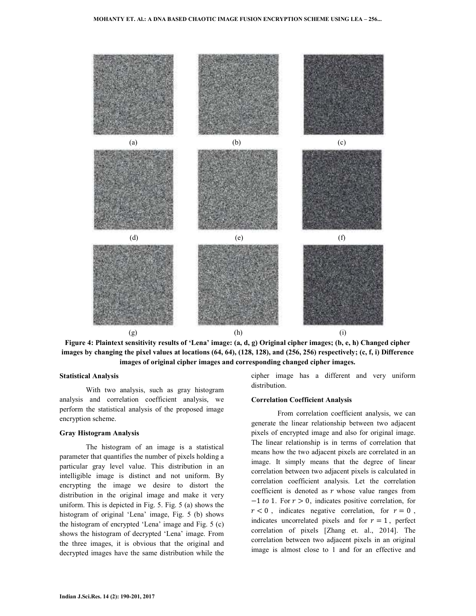



#### **Statistical Analysis**

 With two analysis, such as gray histogram analysis and correlation coefficient analysis, we perform the statistical analysis of the proposed image encryption scheme.

#### **Gray Histogram Analysis**

 The histogram of an image is a statistical parameter that quantifies the number of pixels holding a particular gray level value. This distribution in an intelligible image is distinct and not uniform. By encrypting the image we desire to distort the distribution in the original image and make it very uniform. This is depicted in Fig. 5. Fig. 5 (a) shows the histogram of original 'Lena' image, Fig. 5 (b) shows the histogram of encrypted 'Lena' image and Fig. 5 (c) shows the histogram of decrypted 'Lena' image. From the three images, it is obvious that the original and decrypted images have the same distribution while the

cipher image has a different and very uniform distribution.

#### **Correlation Coefficient Analysis**

 From correlation coefficient analysis, we can generate the linear relationship between two adjacent pixels of encrypted image and also for original image. The linear relationship is in terms of correlation that means how the two adjacent pixels are correlated in an image. It simply means that the degree of linear correlation between two adjacent pixels is calculated in correlation coefficient analysis. Let the correlation coefficient is denoted as  $r$  whose value ranges from  $-1$  to 1. For  $r > 0$ , indicates positive correlation, for  $r < 0$ , indicates negative correlation, for  $r = 0$ , indicates uncorrelated pixels and for  $r = 1$ , perfect correlation of pixels [Zhang et. al., 2014]. The correlation between two adjacent pixels in an original image is almost close to 1 and for an effective and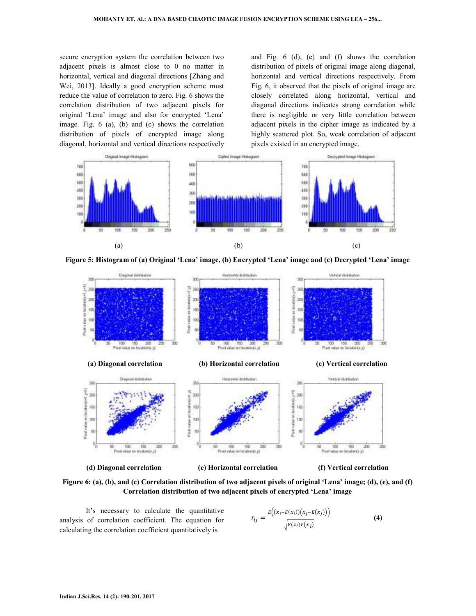secure encryption system the correlation between two adjacent pixels is almost close to 0 no matter in horizontal, vertical and diagonal directions [Zhang and Wei, 2013]. Ideally a good encryption scheme must reduce the value of correlation to zero. Fig. 6 shows the correlation distribution of two adjacent pixels for original 'Lena' image and also for encrypted 'Lena' image. Fig. 6 (a), (b) and (c) shows the correlation distribution of pixels of encrypted image along diagonal, horizontal and vertical directions respectively and Fig. 6 (d), (e) and (f) shows the correlation distribution of pixels of original image along diagonal, horizontal and vertical directions respectively. From Fig. 6, it observed that the pixels of original image are closely correlated along horizontal, vertical and diagonal directions indicates strong correlation while there is negligible or very little correlation between adjacent pixels in the cipher image as indicated by a highly scattered plot. So, weak correlation of adjacent pixels existed in an encrypted image.







**Figure 6: (a), (b), and (c) Correlation distribution of two adjacent pixels of original 'Lena' image; (d), (e), and (f) Correlation distribution of two adjacent pixels of encrypted 'Lena' image** 

 It's necessary to calculate the quantitative analysis of correlation coefficient. The equation for calculating the correlation coefficient quantitatively is

$$
r_{ij} = \frac{E((x_i - E(x_i))(x_j - E(x_j)))}{\sqrt{V(x_i)V(x_j)}}
$$
(4)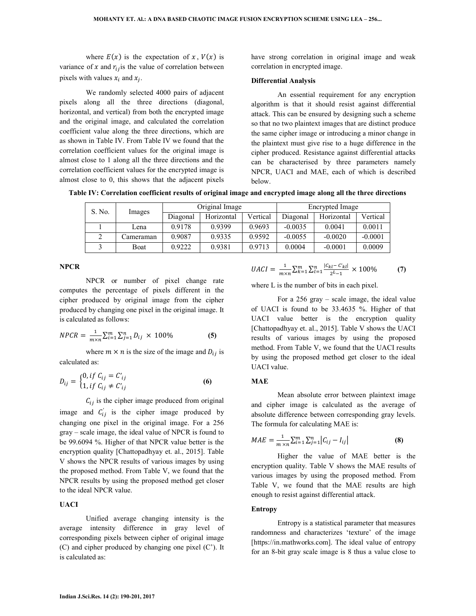where  $E(x)$  is the expectation of x,  $V(x)$  is variance of x and  $r_{ij}$  is the value of correlation between pixels with values  $x_i$  and  $x_j$ .

 We randomly selected 4000 pairs of adjacent pixels along all the three directions (diagonal, horizontal, and vertical) from both the encrypted image and the original image, and calculated the correlation coefficient value along the three directions, which are as shown in Table IV. From Table IV we found that the correlation coefficient values for the original image is almost close to 1 along all the three directions and the correlation coefficient values for the encrypted image is almost close to 0, this shows that the adjacent pixels have strong correlation in original image and weak correlation in encrypted image.

### **Differential Analysis**

 An essential requirement for any encryption algorithm is that it should resist against differential attack. This can be ensured by designing such a scheme so that no two plaintext images that are distinct produce the same cipher image or introducing a minor change in the plaintext must give rise to a huge difference in the cipher produced. Resistance against differential attacks can be characterised by three parameters namely NPCR, UACI and MAE, each of which is described below.

**Table IV: Correlation coefficient results of original image and encrypted image along all the three directions** 

| S. No. |                | Original Image |            |          | Encrypted Image |            |           |
|--------|----------------|----------------|------------|----------|-----------------|------------|-----------|
|        | Images         | Diagonal       | Horizontal | Vertical | Diagonal        | Horizontal | Vertical  |
|        | Lena           | 0.9178         | 0.9399     | 0.9693   | $-0.0035$       | 0.0041     | 0.0011    |
|        | <br>L'ameraman | 0.9087         | 0.9335     | 0.9592   | $-0.0055$       | $-0.0020$  | $-0.0001$ |
|        | Boat           | 0.9222         | 0.9381     | 0.9713   | 0.0004          | $-0.0001$  | 0.0009    |

#### **NPCR**

 NPCR or number of pixel change rate computes the percentage of pixels different in the cipher produced by original image from the cipher produced by changing one pixel in the original image. It is calculated as follows:

$$
NPCR = \frac{1}{m \times n} \sum_{i=1}^{m} \sum_{j=1}^{n} D_{ij} \times 100\%
$$
 (5)

where  $m \times n$  is the size of the image and  $D_{ij}$  is calculated as:

$$
D_{ij} = \begin{cases} 0, & if \ C_{ij} = C'_{ij} \\ 1, & if \ C_{ij} \neq C'_{ij} \end{cases}
$$
 (6)

 $C_{ij}$  is the cipher image produced from original image and  $C'_{ij}$  is the cipher image produced by changing one pixel in the original image. For a 256 gray – scale image, the ideal value of NPCR is found to be 99.6094 %. Higher of that NPCR value better is the encryption quality [Chattopadhyay et. al., 2015]. Table V shows the NPCR results of various images by using the proposed method. From Table V, we found that the NPCR results by using the proposed method get closer to the ideal NPCR value.

## **UACI**

 Unified average changing intensity is the average intensity difference in gray level of corresponding pixels between cipher of original image (C) and cipher produced by changing one pixel (C'). It is calculated as:

$$
UACI = \frac{1}{m \times n} \sum_{k=1}^{m} \sum_{l=1}^{n} \frac{|c_{kl} - c'_{kl}|}{2^{L} - 1} \times 100\%
$$
 (7)

where L is the number of bits in each pixel.

 For a 256 gray – scale image, the ideal value of UACI is found to be 33.4635 %. Higher of that UACI value better is the encryption quality [Chattopadhyay et. al., 2015]. Table V shows the UACI results of various images by using the proposed method. From Table V, we found that the UACI results by using the proposed method get closer to the ideal UACI value.

#### **MAE**

 Mean absolute error between plaintext image and cipher image is calculated as the average of absolute difference between corresponding gray levels. The formula for calculating MAE is:

$$
MAE = \frac{1}{m \times n} \sum_{i=1}^{m} \sum_{j=1}^{n} |C_{ij} - I_{ij}|
$$
 (8)

 Higher the value of MAE better is the encryption quality. Table V shows the MAE results of various images by using the proposed method. From Table V, we found that the MAE results are high enough to resist against differential attack.

## **Entropy**

 Entropy is a statistical parameter that measures randomness and characterizes 'texture' of the image [https://in.mathworks.com]. The ideal value of entropy for an 8-bit gray scale image is 8 thus a value close to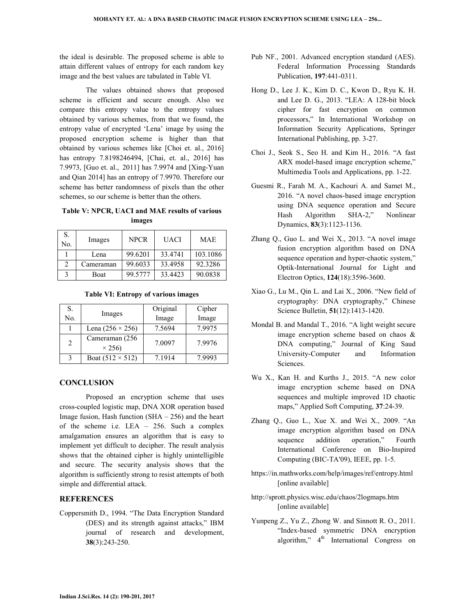the ideal is desirable. The proposed scheme is able to attain different values of entropy for each random key image and the best values are tabulated in Table VI.

 The values obtained shows that proposed scheme is efficient and secure enough. Also we compare this entropy value to the entropy values obtained by various schemes, from that we found, the entropy value of encrypted 'Lena' image by using the proposed encryption scheme is higher than that obtained by various schemes like [Choi et. al., 2016] has entropy 7.8198246494, [Chai, et. al., 2016] has 7.9973, [Guo et. al., 2011] has 7.9974 and [Xing-Yuan and Qian 2014] has an entropy of 7.9970. Therefore our scheme has better randomness of pixels than the other schemes, so our scheme is better than the others.

## **Table V: NPCR, UACI and MAE results of various images**

| S.<br>No.                   | Images    | <b>NPCR</b> | <b>UACI</b> | <b>MAE</b> |
|-----------------------------|-----------|-------------|-------------|------------|
|                             | Lena      | 99.6201     | 33.4741     | 103.1086   |
| $\mathcal{D}_{\mathcal{L}}$ | Cameraman | 99.6033     | 33.4958     | 92.3286    |
| 3                           | Boat      | 99.5777     | 33.4423     | 90.0838    |

#### **Table VI: Entropy of various images**

| S.                |                                 | Original | Cipher |
|-------------------|---------------------------------|----------|--------|
| No.               | Images                          | Image    | Image  |
|                   | Lena $(256 \times 256)$         | 7.5694   | 7.9975 |
| $\overline{2}$    | Cameraman (256<br>$\times$ 256) | 7.0097   | 7.9976 |
| $\mathbf{\Omega}$ | Boat $(512 \times 512)$         | 7.1914   | 7.9993 |

## **CONCLUSION**

 Proposed an encryption scheme that uses cross-coupled logistic map, DNA XOR operation based Image fusion, Hash function  $(SHA - 256)$  and the heart of the scheme i.e. LEA – 256. Such a complex amalgamation ensures an algorithm that is easy to implement yet difficult to decipher. The result analysis shows that the obtained cipher is highly unintelligible and secure. The security analysis shows that the algorithm is sufficiently strong to resist attempts of both simple and differential attack.

## **REFERENCES**

Coppersmith D., 1994. "The Data Encryption Standard (DES) and its strength against attacks," IBM journal of research and development, **38**(3):243-250.

- Pub NF., 2001. Advanced encryption standard (AES). Federal Information Processing Standards Publication, **197**:441-0311.
- Hong D., Lee J. K., Kim D. C., Kwon D., Ryu K. H. and Lee D. G., 2013. "LEA: A 128-bit block cipher for fast encryption on common processors," In International Workshop on Information Security Applications, Springer International Publishing, pp. 3-27.
- Choi J., Seok S., Seo H. and Kim H., 2016. "A fast ARX model-based image encryption scheme," Multimedia Tools and Applications, pp. 1-22.
- Guesmi R., Farah M. A., Kachouri A. and Samet M., 2016. "A novel chaos-based image encryption using DNA sequence operation and Secure Hash Algorithm SHA-2," Nonlinear Dynamics, **83**(3):1123-1136.
- Zhang Q., Guo L. and Wei X., 2013. "A novel image fusion encryption algorithm based on DNA sequence operation and hyper-chaotic system," Optik-International Journal for Light and Electron Optics, **124**(18):3596-3600.
- Xiao G., Lu M., Qin L. and Lai X., 2006. "New field of cryptography: DNA cryptography," Chinese Science Bulletin, **51**(12):1413-1420.
- Mondal B. and Mandal T., 2016. "A light weight secure image encryption scheme based on chaos & DNA computing," Journal of King Saud University-Computer and Information Sciences.
- Wu X., Kan H. and Kurths J., 2015. "A new color image encryption scheme based on DNA sequences and multiple improved 1D chaotic maps," Applied Soft Computing, **37**:24-39.
- Zhang Q., Guo L., Xue X. and Wei X., 2009. "An image encryption algorithm based on DNA sequence addition operation," Fourth International Conference on Bio-Inspired Computing (BIC-TA'09), IEEE, pp. 1-5.
- https://in.mathworks.com/help/images/ref/entropy.html [online available]
- http://sprott.physics.wisc.edu/chaos/2logmaps.htm [online available]
- Yunpeng Z., Yu Z., Zhong W. and Sinnott R. O., 2011. "Index-based symmetric DNA encryption algorithm,"  $4<sup>th</sup>$  International Congress on